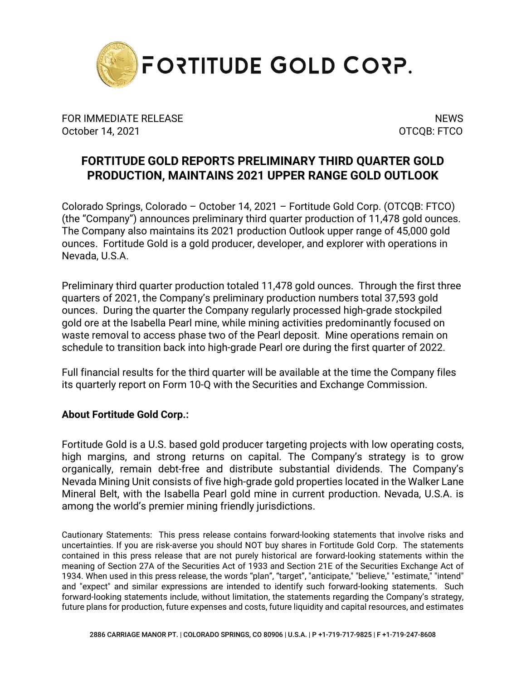

FOR IMMEDIATE RELEASE NEWS AND THE SERVICE OF STREET AND THE SERVICE OF STREET AND THE SERVICE OF STREET AND T October 14, 2021 OTCQB: FTCO

## **FORTITUDE GOLD REPORTS PRELIMINARY THIRD QUARTER GOLD PRODUCTION, MAINTAINS 2021 UPPER RANGE GOLD OUTLOOK**

Colorado Springs, Colorado – October 14, 2021 – Fortitude Gold Corp. (OTCQB: FTCO) (the "Company") announces preliminary third quarter production of 11,478 gold ounces. The Company also maintains its 2021 production Outlook upper range of 45,000 gold ounces. Fortitude Gold is a gold producer, developer, and explorer with operations in Nevada, U.S.A.

Preliminary third quarter production totaled 11,478 gold ounces. Through the first three quarters of 2021, the Company's preliminary production numbers total 37,593 gold ounces. During the quarter the Company regularly processed high-grade stockpiled gold ore at the Isabella Pearl mine, while mining activities predominantly focused on waste removal to access phase two of the Pearl deposit. Mine operations remain on schedule to transition back into high-grade Pearl ore during the first quarter of 2022.

Full financial results for the third quarter will be available at the time the Company files its quarterly report on Form 10-Q with the Securities and Exchange Commission.

## **About Fortitude Gold Corp.:**

Fortitude Gold is a U.S. based gold producer targeting projects with low operating costs, high margins, and strong returns on capital. The Company's strategy is to grow organically, remain debt-free and distribute substantial dividends. The Company's Nevada Mining Unit consists of five high-grade gold properties located in the Walker Lane Mineral Belt, with the Isabella Pearl gold mine in current production. Nevada, U.S.A. is among the world's premier mining friendly jurisdictions.

Cautionary Statements: This press release contains forward-looking statements that involve risks and uncertainties. If you are risk-averse you should NOT buy shares in Fortitude Gold Corp. The statements contained in this press release that are not purely historical are forward-looking statements within the meaning of Section 27A of the Securities Act of 1933 and Section 21E of the Securities Exchange Act of 1934. When used in this press release, the words "plan", "target", "anticipate," "believe," "estimate," "intend" and "expect" and similar expressions are intended to identify such forward-looking statements. Such forward-looking statements include, without limitation, the statements regarding the Company's strategy, future plans for production, future expenses and costs, future liquidity and capital resources, and estimates